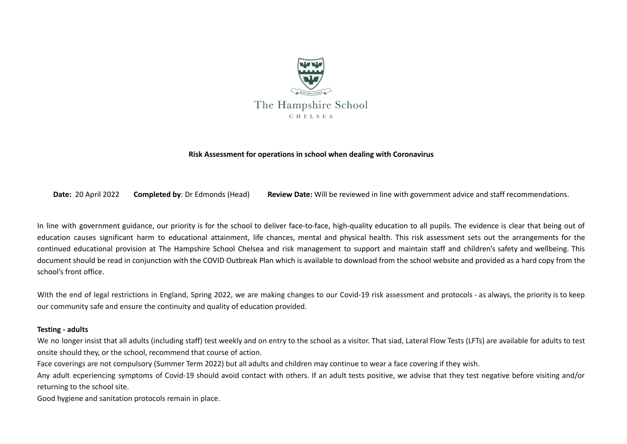

#### **Risk Assessment for operations in school when dealing with Coronavirus**

**Date:** 20 April 2022 **Completed by**: Dr Edmonds (Head) **Review Date:** Will be reviewed in line with government advice and staff recommendations.

In line with government guidance, our priority is for the school to deliver face-to-face, high-quality education to all pupils. The evidence is clear that being out of education causes significant harm to educational attainment, life chances, mental and physical health. This risk assessment sets out the arrangements for the continued educational provision at The Hampshire School Chelsea and risk management to support and maintain staff and children's safety and wellbeing. This document should be read in conjunction with the COVID Outbreak Plan which is available to download from the school website and provided as a hard copy from the school's front office.

With the end of legal restrictions in England, Spring 2022, we are making changes to our Covid-19 risk assessment and protocols - as always, the priority is to keep our community safe and ensure the continuity and quality of education provided.

#### **Testing - adults**

We no longer insist that all adults (including staff) test weekly and on entry to the school as a visitor. That siad, Lateral Flow Tests (LFTs) are available for adults to test onsite should they, or the school, recommend that course of action.

Face coverings are not compulsory (Summer Term 2022) but all adults and children may continue to wear a face covering if they wish.

Any adult ecperiencing symptoms of Covid-19 should avoid contact with others. If an adult tests positive, we advise that they test negative before visiting and/or returning to the school site.

Good hygiene and sanitation protocols remain in place.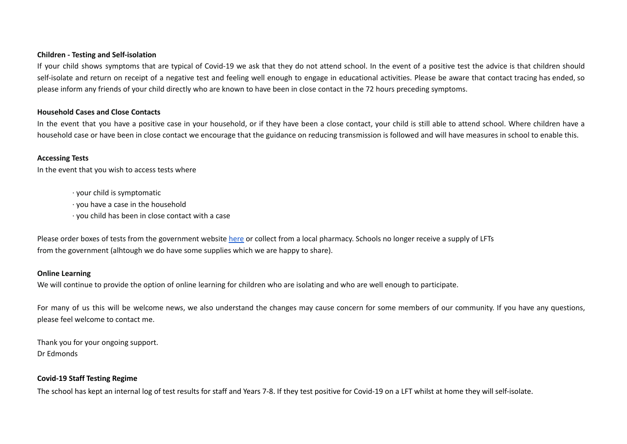### **Children - Testing and Self-isolation**

If your child shows symptoms that are typical of Covid-19 we ask that they do not attend school. In the event of a positive test the advice is that children should self-isolate and return on receipt of a negative test and feeling well enough to engage in educational activities. Please be aware that contact tracing has ended, so please inform any friends of your child directly who are known to have been in close contact in the 72 hours preceding symptoms.

## **Household Cases and Close Contacts**

In the event that you have a positive case in your household, or if they have been a close contact, your child is still able to attend school. Where children have a household case or have been in close contact we encourage that the guidance on reducing transmission is followed and will have measures in school to enable this.

# **Accessing Tests**

In the event that you wish to access tests where

· your child is symptomatic

· you have a case in the household

· you child has been in close contact with a case

Please order boxes of tests from the government website [here](https://u8683388.ct.sendgrid.net/ls/click?upn=JkeDHY6ut4WFtzOSmakYSGiIoAUscQ2TdO7N-2FO9PvBfj6UzRGlu3Tcsf-2FFc9ZVHYvDeT3clA4mH8-2BNGa4NJQ1Q9HvkHPOxFI785YvwOHVjI-3DXV4s_N2m65fc5RR-2FVg3gv0DfiixvF-2BKut6cQZN75M64eBWWkNIA1w3qm5eFGVl4-2FBdTSkdPBXi9wJTX5vgMZe7ZDC78R-2BRKfPtmO6vrhN6kkuVCF8BgGAUg6iG9bbLe8r5uVVJ0jOIhleP-2B-2FzTHJH-2BjIJxSqU260DQ4xMVnOHLAchLhqmA6Cm6fD3-2F4fTQhFCFSkExnPa5piaLJ-2BY-2FCZPJtspYg-3D-3D) or collect from a local pharmacy. Schools no longer receive a supply of LFTs from the government (alhtough we do have some supplies which we are happy to share).

#### **Online Learning**

We will continue to provide the option of online learning for children who are isolating and who are well enough to participate.

For many of us this will be welcome news, we also understand the changes may cause concern for some members of our community. If you have any questions, please feel welcome to contact me.

Thank you for your ongoing support. Dr Edmonds

## **Covid-19 Staff Testing Regime**

The school has kept an internal log of test results for staff and Years 7-8. If they test positive for Covid-19 on a LFT whilst at home they will self-isolate.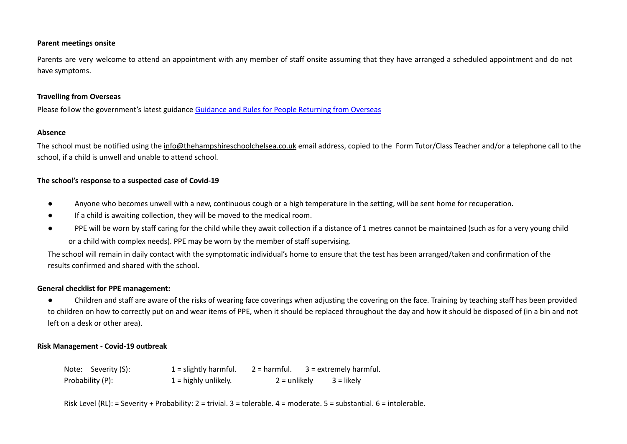## **Parent meetings onsite**

Parents are very welcome to attend an appointment with any member of staff onsite assuming that they have arranged a scheduled appointment and do not have symptoms.

## **Travelling from Overseas**

Please follow the government's latest guidance Guidance and Rules for People [Returning](https://www.gov.uk/guidance/red-amber-and-green-list-rules-for-entering-england#red-list-rules) from Overseas

## **Absence**

The school must be notified using the [info@thehampshireschoolchelsea.co.uk](mailto:info@thehampshireschoolchelsea.co.uk) email address, copied to the Form Tutor/Class Teacher and/or a telephone call to the school, if a child is unwell and unable to attend school.

# **The school's response to a suspected case of Covid-19**

- Anyone who becomes unwell with a new, continuous cough or a high temperature in the setting, will be sent home for recuperation.
- If a child is awaiting collection, they will be moved to the medical room.
- PPE will be worn by staff caring for the child while they await collection if a distance of 1 metres cannot be maintained (such as for a very young child or a child with complex needs). PPE may be worn by the member of staff supervising.

The school will remain in daily contact with the symptomatic individual's home to ensure that the test has been arranged/taken and confirmation of the results confirmed and shared with the school.

## **General checklist for PPE management:**

● Children and staff are aware of the risks of wearing face coverings when adjusting the covering on the face. Training by teaching staff has been provided to children on how to correctly put on and wear items of PPE, when it should be replaced throughout the day and how it should be disposed of (in a bin and not left on a desk or other area).

# **Risk Management - Covid-19 outbreak**

| Note: Severity (S): | $1 =$ slightly harmful. | 2 = harmful.   | 3 = extremely harmful. |
|---------------------|-------------------------|----------------|------------------------|
| Probability (P):    | $1 =$ highly unlikely.  | $2 =$ unlikely | 3 = likely             |

Risk Level (RL): = Severity + Probability: 2 = trivial. 3 = tolerable. 4 = moderate. 5 = substantial. 6 = intolerable.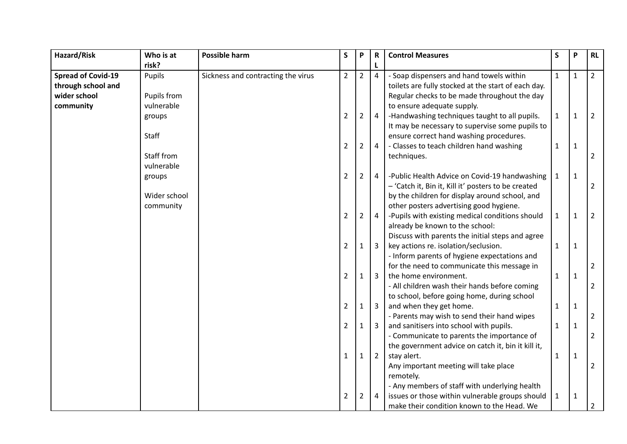| Hazard/Risk               | Who is at    | Possible harm                      | $\mathsf S$    | P              | R                       | <b>Control Measures</b>                             | S            | P            | RL             |
|---------------------------|--------------|------------------------------------|----------------|----------------|-------------------------|-----------------------------------------------------|--------------|--------------|----------------|
|                           | risk?        |                                    |                |                |                         |                                                     |              |              |                |
| <b>Spread of Covid-19</b> | Pupils       | Sickness and contracting the virus | $\overline{2}$ | $2^{\circ}$    | $\overline{4}$          | - Soap dispensers and hand towels within            | $\mathbf{1}$ | $\mathbf{1}$ | $\overline{2}$ |
| through school and        |              |                                    |                |                |                         | toilets are fully stocked at the start of each day. |              |              |                |
| wider school              | Pupils from  |                                    |                |                |                         | Regular checks to be made throughout the day        |              |              |                |
| community                 | vulnerable   |                                    |                |                |                         | to ensure adequate supply.                          |              |              |                |
|                           | groups       |                                    | $\overline{2}$ | $\overline{2}$ | $\overline{4}$          | -Handwashing techniques taught to all pupils.       | $\mathbf{1}$ | $\mathbf{1}$ | $\overline{2}$ |
|                           |              |                                    |                |                |                         | It may be necessary to supervise some pupils to     |              |              |                |
|                           | Staff        |                                    |                |                |                         | ensure correct hand washing procedures.             |              |              |                |
|                           |              |                                    | $\overline{2}$ | $\overline{2}$ | $\overline{4}$          | - Classes to teach children hand washing            | $\mathbf{1}$ | $\mathbf{1}$ |                |
|                           | Staff from   |                                    |                |                |                         | techniques.                                         |              |              | $\overline{2}$ |
|                           | vulnerable   |                                    |                |                |                         |                                                     |              |              |                |
|                           | groups       |                                    | $\overline{2}$ | $\overline{2}$ | $\overline{4}$          | -Public Health Advice on Covid-19 handwashing       | $\mathbf{1}$ | $\mathbf{1}$ |                |
|                           |              |                                    |                |                |                         | - 'Catch it, Bin it, Kill it' posters to be created |              |              | $\overline{2}$ |
|                           | Wider school |                                    |                |                |                         | by the children for display around school, and      |              |              |                |
|                           | community    |                                    |                |                |                         | other posters advertising good hygiene.             |              |              |                |
|                           |              |                                    | $\overline{2}$ | $\overline{2}$ | $\overline{4}$          | -Pupils with existing medical conditions should     | $\mathbf{1}$ | 1            | $\overline{2}$ |
|                           |              |                                    |                |                |                         | already be known to the school:                     |              |              |                |
|                           |              |                                    |                |                |                         | Discuss with parents the initial steps and agree    |              |              |                |
|                           |              |                                    | $\overline{2}$ | $\mathbf{1}$   | $\overline{3}$          | key actions re. isolation/seclusion.                | $\mathbf{1}$ | $\mathbf{1}$ |                |
|                           |              |                                    |                |                |                         | - Inform parents of hygiene expectations and        |              |              |                |
|                           |              |                                    |                |                |                         | for the need to communicate this message in         |              |              | $\overline{2}$ |
|                           |              |                                    | $\overline{2}$ | $\mathbf{1}$   | $\overline{\mathbf{3}}$ | the home environment.                               | $\mathbf{1}$ | $\mathbf{1}$ |                |
|                           |              |                                    |                |                |                         | - All children wash their hands before coming       |              |              | $\overline{2}$ |
|                           |              |                                    |                |                |                         | to school, before going home, during school         |              |              |                |
|                           |              |                                    | $\overline{2}$ | 1              | $\overline{3}$          | and when they get home.                             | $\mathbf{1}$ | $\mathbf{1}$ |                |
|                           |              |                                    |                |                |                         | - Parents may wish to send their hand wipes         |              |              | $\overline{2}$ |
|                           |              |                                    | $\overline{2}$ | $\mathbf{1}$   | 3                       | and sanitisers into school with pupils.             | $\mathbf{1}$ | $\mathbf{1}$ |                |
|                           |              |                                    |                |                |                         | - Communicate to parents the importance of          |              |              | 2              |
|                           |              |                                    |                |                |                         | the government advice on catch it, bin it kill it,  |              |              |                |
|                           |              |                                    | 1              | $\mathbf{1}$   | $\overline{2}$          | stay alert.                                         | $\mathbf{1}$ | $\mathbf{1}$ |                |
|                           |              |                                    |                |                |                         | Any important meeting will take place               |              |              | $\overline{2}$ |
|                           |              |                                    |                |                |                         | remotely.                                           |              |              |                |
|                           |              |                                    |                |                |                         | - Any members of staff with underlying health       |              |              |                |
|                           |              |                                    | $\overline{2}$ | 2              | $\overline{4}$          | issues or those within vulnerable groups should     | $\mathbf{1}$ | $\mathbf{1}$ |                |
|                           |              |                                    |                |                |                         | make their condition known to the Head. We          |              |              | $\overline{2}$ |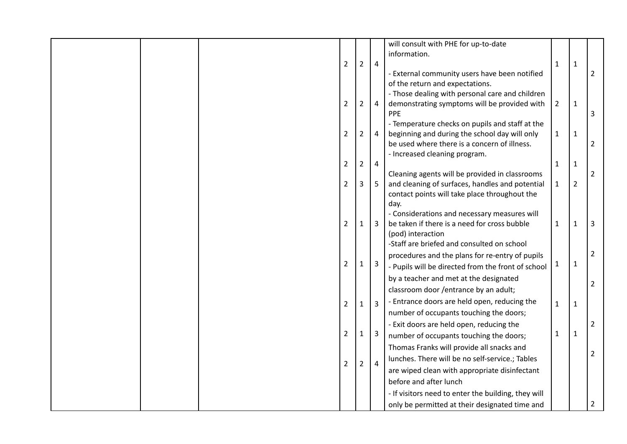| will consult with PHE for up-to-date                                                                                                             |                |                |                |
|--------------------------------------------------------------------------------------------------------------------------------------------------|----------------|----------------|----------------|
| information.                                                                                                                                     |                |                |                |
| $\overline{2}$<br>$\overline{2}$<br>$\overline{4}$                                                                                               | $\mathbf{1}$   | $\mathbf{1}$   |                |
| - External community users have been notified                                                                                                    |                |                | $\overline{2}$ |
| of the return and expectations.                                                                                                                  |                |                |                |
| - Those dealing with personal care and children                                                                                                  |                |                |                |
| $\overline{2}$<br>demonstrating symptoms will be provided with<br>$\overline{2}$<br>$\overline{4}$<br>PPE                                        | $\overline{2}$ | $\mathbf{1}$   | 3              |
| - Temperature checks on pupils and staff at the                                                                                                  |                |                |                |
| $\overline{2}$<br>beginning and during the school day will only<br>$\overline{2}$<br>$\overline{4}$                                              | 1              | $\mathbf{1}$   |                |
| be used where there is a concern of illness.                                                                                                     |                |                | $\overline{2}$ |
| - Increased cleaning program.                                                                                                                    |                |                |                |
| $\overline{2}$<br>$\overline{2}$<br>$\overline{4}$                                                                                               | 1              | $\mathbf{1}$   |                |
| Cleaning agents will be provided in classrooms                                                                                                   |                |                | $\overline{2}$ |
| and cleaning of surfaces, handles and potential<br>$\overline{2}$<br>3<br>$5\phantom{.}$                                                         | 1              | $\overline{2}$ |                |
| contact points will take place throughout the                                                                                                    |                |                |                |
| day.                                                                                                                                             |                |                |                |
| - Considerations and necessary measures will<br>$\overline{2}$<br>be taken if there is a need for cross bubble<br>$\overline{3}$<br>$\mathbf{1}$ | $\mathbf{1}$   | 1              | 3              |
| (pod) interaction                                                                                                                                |                |                |                |
| -Staff are briefed and consulted on school                                                                                                       |                |                |                |
| procedures and the plans for re-entry of pupils                                                                                                  |                |                | $\overline{2}$ |
| $\overline{2}$<br>$\overline{3}$<br>$\mathbf{1}$<br>- Pupils will be directed from the front of school                                           | 1              | 1              |                |
| by a teacher and met at the designated                                                                                                           |                |                |                |
| classroom door /entrance by an adult;                                                                                                            |                |                | $\overline{2}$ |
| - Entrance doors are held open, reducing the                                                                                                     |                |                |                |
| $\overline{3}$<br>$\overline{2}$<br>$\mathbf{1}$<br>number of occupants touching the doors;                                                      | $\mathbf{1}$   | 1              |                |
| - Exit doors are held open, reducing the                                                                                                         |                |                |                |
| $\overline{2}$<br>$\overline{3}$<br>$\mathbf{1}$                                                                                                 | 1              | 1              | $\overline{2}$ |
| number of occupants touching the doors;                                                                                                          |                |                |                |
| Thomas Franks will provide all snacks and                                                                                                        |                |                | $\overline{2}$ |
| lunches. There will be no self-service.; Tables<br>$\overline{2}$<br>$\overline{2}$<br>$\overline{4}$                                            |                |                |                |
| are wiped clean with appropriate disinfectant                                                                                                    |                |                |                |
| before and after lunch                                                                                                                           |                |                |                |
| - If visitors need to enter the building, they will                                                                                              |                |                |                |
| only be permitted at their designated time and                                                                                                   |                |                | $\overline{2}$ |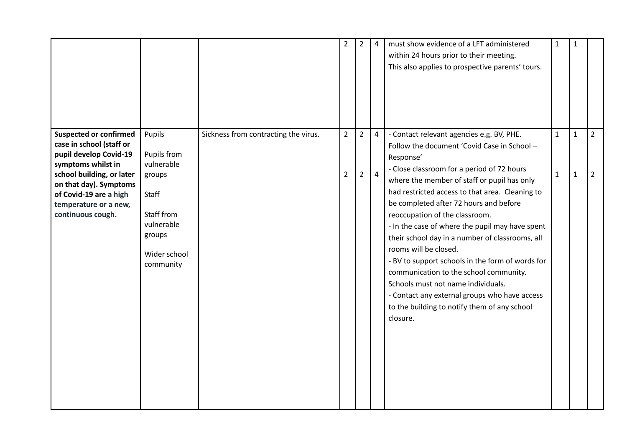|                                                                                                                                                                                                                                          |                                                                                                                           |                                      | $\overline{2}$                   | $\overline{2}$                   | $\overline{4}$                   | must show evidence of a LFT administered<br>within 24 hours prior to their meeting.<br>This also applies to prospective parents' tours.                                                                                                                                                                                                                                                                                                                                                                                                                                                                                                                                                                           | $\mathbf{1}$                 | $\mathbf{1}$                 |                                  |
|------------------------------------------------------------------------------------------------------------------------------------------------------------------------------------------------------------------------------------------|---------------------------------------------------------------------------------------------------------------------------|--------------------------------------|----------------------------------|----------------------------------|----------------------------------|-------------------------------------------------------------------------------------------------------------------------------------------------------------------------------------------------------------------------------------------------------------------------------------------------------------------------------------------------------------------------------------------------------------------------------------------------------------------------------------------------------------------------------------------------------------------------------------------------------------------------------------------------------------------------------------------------------------------|------------------------------|------------------------------|----------------------------------|
| <b>Suspected or confirmed</b><br>case in school (staff or<br>pupil develop Covid-19<br>symptoms whilst in<br>school building, or later<br>on that day). Symptoms<br>of Covid-19 are a high<br>temperature or a new,<br>continuous cough. | Pupils<br>Pupils from<br>vulnerable<br>groups<br>Staff<br>Staff from<br>vulnerable<br>groups<br>Wider school<br>community | Sickness from contracting the virus. | $\overline{2}$<br>$\overline{2}$ | $\overline{2}$<br>$\overline{2}$ | $\overline{4}$<br>$\overline{4}$ | - Contact relevant agencies e.g. BV, PHE.<br>Follow the document 'Covid Case in School -<br>Response'<br>- Close classroom for a period of 72 hours<br>where the member of staff or pupil has only<br>had restricted access to that area. Cleaning to<br>be completed after 72 hours and before<br>reoccupation of the classroom.<br>- In the case of where the pupil may have spent<br>their school day in a number of classrooms, all<br>rooms will be closed.<br>- BV to support schools in the form of words for<br>communication to the school community.<br>Schools must not name individuals.<br>- Contact any external groups who have access<br>to the building to notify them of any school<br>closure. | $\mathbf{1}$<br>$\mathbf{1}$ | $\mathbf{1}$<br>$\mathbf{1}$ | $\overline{2}$<br>$\overline{2}$ |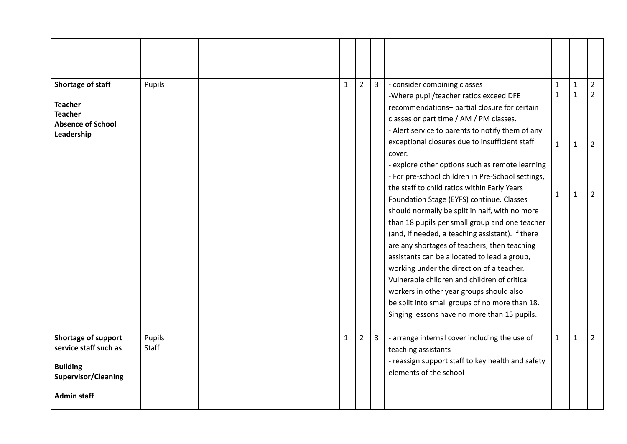| Shortage of staff<br><b>Teacher</b><br><b>Teacher</b><br><b>Absence of School</b><br>Leadership                     | Pupils          | $\mathbf{1}$ | $2^{\circ}$    | $\overline{3}$ | - consider combining classes<br>-Where pupil/teacher ratios exceed DFE<br>recommendations- partial closure for certain<br>classes or part time / AM / PM classes.<br>- Alert service to parents to notify them of any<br>exceptional closures due to insufficient staff<br>cover.<br>- explore other options such as remote learning<br>- For pre-school children in Pre-School settings,<br>the staff to child ratios within Early Years<br>Foundation Stage (EYFS) continue. Classes<br>should normally be split in half, with no more<br>than 18 pupils per small group and one teacher<br>(and, if needed, a teaching assistant). If there<br>are any shortages of teachers, then teaching<br>assistants can be allocated to lead a group,<br>working under the direction of a teacher.<br>Vulnerable children and children of critical<br>workers in other year groups should also<br>be split into small groups of no more than 18.<br>Singing lessons have no more than 15 pupils. | 1<br>$\mathbf{1}$<br>$\mathbf{1}$<br>$\mathbf{1}$ | $\mathbf{1}$<br>$\mathbf{1}$<br>$\mathbf{1}$<br>$\mathbf{1}$ | $\overline{2}$<br>$\overline{2}$<br>$\overline{2}$<br>$\overline{2}$ |
|---------------------------------------------------------------------------------------------------------------------|-----------------|--------------|----------------|----------------|-------------------------------------------------------------------------------------------------------------------------------------------------------------------------------------------------------------------------------------------------------------------------------------------------------------------------------------------------------------------------------------------------------------------------------------------------------------------------------------------------------------------------------------------------------------------------------------------------------------------------------------------------------------------------------------------------------------------------------------------------------------------------------------------------------------------------------------------------------------------------------------------------------------------------------------------------------------------------------------------|---------------------------------------------------|--------------------------------------------------------------|----------------------------------------------------------------------|
| Shortage of support<br>service staff such as<br><b>Building</b><br><b>Supervisor/Cleaning</b><br><b>Admin staff</b> | Pupils<br>Staff | $\mathbf{1}$ | $\overline{2}$ | $\overline{3}$ | - arrange internal cover including the use of<br>teaching assistants<br>- reassign support staff to key health and safety<br>elements of the school                                                                                                                                                                                                                                                                                                                                                                                                                                                                                                                                                                                                                                                                                                                                                                                                                                       | $\mathbf{1}$                                      | $\mathbf{1}$                                                 | $\overline{2}$                                                       |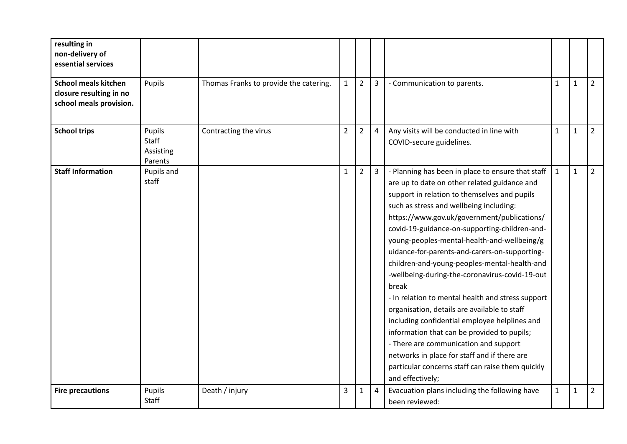| resulting in<br>non-delivery of<br>essential services                             |                                         |                                        |                |                |                |                                                                                                                                                                                                                                                                                                                                                                                                                                                                                                                                                                                                                                                                                                                                                                                                                                                                               |              |              |                |
|-----------------------------------------------------------------------------------|-----------------------------------------|----------------------------------------|----------------|----------------|----------------|-------------------------------------------------------------------------------------------------------------------------------------------------------------------------------------------------------------------------------------------------------------------------------------------------------------------------------------------------------------------------------------------------------------------------------------------------------------------------------------------------------------------------------------------------------------------------------------------------------------------------------------------------------------------------------------------------------------------------------------------------------------------------------------------------------------------------------------------------------------------------------|--------------|--------------|----------------|
| <b>School meals kitchen</b><br>closure resulting in no<br>school meals provision. | Pupils                                  | Thomas Franks to provide the catering. | $\mathbf{1}$   | $\overline{2}$ | $\overline{3}$ | - Communication to parents.                                                                                                                                                                                                                                                                                                                                                                                                                                                                                                                                                                                                                                                                                                                                                                                                                                                   | $\mathbf{1}$ | $\mathbf{1}$ | $2^{\circ}$    |
| <b>School trips</b>                                                               | Pupils<br>Staff<br>Assisting<br>Parents | Contracting the virus                  | $\overline{2}$ | $\overline{2}$ | $\overline{4}$ | Any visits will be conducted in line with<br>COVID-secure guidelines.                                                                                                                                                                                                                                                                                                                                                                                                                                                                                                                                                                                                                                                                                                                                                                                                         | $\mathbf{1}$ | $\mathbf{1}$ | $\overline{2}$ |
| <b>Staff Information</b>                                                          | Pupils and<br>staff                     |                                        | $\mathbf{1}$   | $\overline{2}$ | $\mathbf{3}$   | - Planning has been in place to ensure that staff<br>are up to date on other related guidance and<br>support in relation to themselves and pupils<br>such as stress and wellbeing including:<br>https://www.gov.uk/government/publications/<br>covid-19-guidance-on-supporting-children-and-<br>young-peoples-mental-health-and-wellbeing/g<br>uidance-for-parents-and-carers-on-supporting-<br>children-and-young-peoples-mental-health-and<br>-wellbeing-during-the-coronavirus-covid-19-out<br>break<br>- In relation to mental health and stress support<br>organisation, details are available to staff<br>including confidential employee helplines and<br>information that can be provided to pupils;<br>- There are communication and support<br>networks in place for staff and if there are<br>particular concerns staff can raise them quickly<br>and effectively; | $\mathbf{1}$ | $\mathbf{1}$ | $\overline{2}$ |
| <b>Fire precautions</b>                                                           | Pupils<br><b>Staff</b>                  | Death / injury                         | 3              | $\mathbf{1}$   | $\overline{4}$ | Evacuation plans including the following have<br>been reviewed:                                                                                                                                                                                                                                                                                                                                                                                                                                                                                                                                                                                                                                                                                                                                                                                                               | $\mathbf{1}$ | 1            | $\overline{2}$ |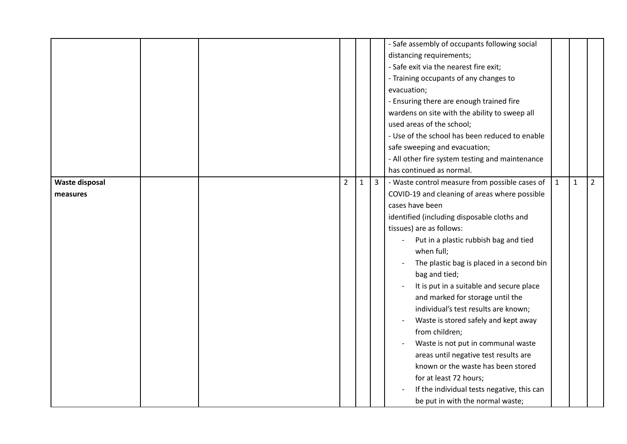|                                   |  |                |              |                | - Safe assembly of occupants following social<br>distancing requirements;<br>- Safe exit via the nearest fire exit;<br>- Training occupants of any changes to<br>evacuation;<br>- Ensuring there are enough trained fire<br>wardens on site with the ability to sweep all<br>used areas of the school;<br>- Use of the school has been reduced to enable<br>safe sweeping and evacuation;<br>- All other fire system testing and maintenance<br>has continued as normal.                                                                                                                                                                                                                                                              |              |              |                |
|-----------------------------------|--|----------------|--------------|----------------|---------------------------------------------------------------------------------------------------------------------------------------------------------------------------------------------------------------------------------------------------------------------------------------------------------------------------------------------------------------------------------------------------------------------------------------------------------------------------------------------------------------------------------------------------------------------------------------------------------------------------------------------------------------------------------------------------------------------------------------|--------------|--------------|----------------|
| <b>Waste disposal</b><br>measures |  | $\overline{2}$ | $\mathbf{1}$ | $\overline{3}$ | - Waste control measure from possible cases of<br>COVID-19 and cleaning of areas where possible<br>cases have been<br>identified (including disposable cloths and<br>tissues) are as follows:<br>Put in a plastic rubbish bag and tied<br>when full;<br>The plastic bag is placed in a second bin<br>bag and tied;<br>It is put in a suitable and secure place<br>and marked for storage until the<br>individual's test results are known;<br>Waste is stored safely and kept away<br>from children;<br>Waste is not put in communal waste<br>areas until negative test results are<br>known or the waste has been stored<br>for at least 72 hours;<br>If the individual tests negative, this can<br>be put in with the normal waste; | $\mathbf{1}$ | $\mathbf{1}$ | $\overline{2}$ |